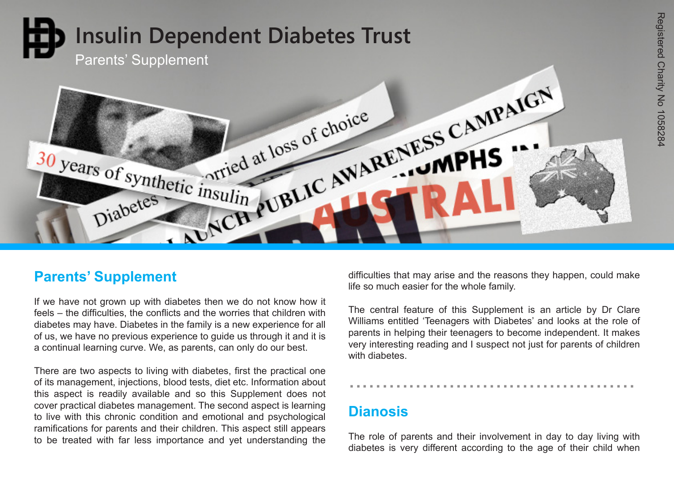

## **Parents' Supplement**

If we have not grown up with diabetes then we do not know how it feels – the difficulties, the conflicts and the worries that children with diabetes may have. Diabetes in the family is a new experience for all of us, we have no previous experience to guide us through it and it is a continual learning curve. We, as parents, can only do our best.

There are two aspects to living with diabetes, first the practical one of its management, injections, blood tests, diet etc. Information about this aspect is readily available and so this Supplement does not cover practical diabetes management. The second aspect is learning to live with this chronic condition and emotional and psychological ramifications for parents and their children. This aspect still appears to be treated with far less importance and yet understanding the

difficulties that may arise and the reasons they happen, could make life so much easier for the whole family.

The central feature of this Supplement is an article by Dr Clare Williams entitled 'Teenagers with Diabetes' and looks at the role of parents in helping their teenagers to become independent. It makes very interesting reading and I suspect not just for parents of children with diabetes.

...........................................

# **Dianosis**

The role of parents and their involvement in day to day living with diabetes is very different according to the age of their child when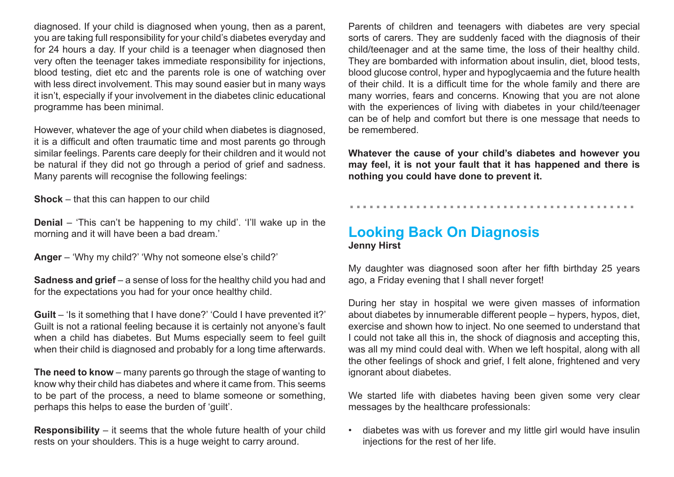diagnosed. If your child is diagnosed when young, then as a parent, you are taking full responsibility for your child's diabetes everyday and for 24 hours a day. If your child is a teenager when diagnosed then very often the teenager takes immediate responsibility for injections, blood testing, diet etc and the parents role is one of watching over with less direct involvement. This may sound easier but in many ways it isn't, especially if your involvement in the diabetes clinic educational programme has been minimal.

However, whatever the age of your child when diabetes is diagnosed, it is a difficult and often traumatic time and most parents go through similar feelings. Parents care deeply for their children and it would not be natural if they did not go through a period of grief and sadness. Many parents will recognise the following feelings:

**Shock** – that this can happen to our child

**Denial** – 'This can't be happening to my child'. 'I'll wake up in the morning and it will have been a bad dream.'

**Anger** – 'Why my child?' 'Why not someone else's child?'

**Sadness and grief** – a sense of loss for the healthy child you had and for the expectations you had for your once healthy child.

**Guilt** – 'Is it something that I have done?' 'Could I have prevented it?' Guilt is not a rational feeling because it is certainly not anyone's fault when a child has diabetes. But Mums especially seem to feel guilt when their child is diagnosed and probably for a long time afterwards.

**The need to know** – many parents go through the stage of wanting to know why their child has diabetes and where it came from. This seems to be part of the process, a need to blame someone or something, perhaps this helps to ease the burden of 'guilt'.

**Responsibility** – it seems that the whole future health of your child rests on your shoulders. This is a huge weight to carry around.

Parents of children and teenagers with diabetes are very special sorts of carers. They are suddenly faced with the diagnosis of their child/teenager and at the same time, the loss of their healthy child. They are bombarded with information about insulin, diet, blood tests, blood glucose control, hyper and hypoglycaemia and the future health of their child. It is a difficult time for the whole family and there are many worries, fears and concerns. Knowing that you are not alone with the experiences of living with diabetes in your child/teenager can be of help and comfort but there is one message that needs to be remembered.

**Whatever the cause of your child's diabetes and however you may feel, it is not your fault that it has happened and there is nothing you could have done to prevent it.**

...........................................

## **Looking Back On Diagnosis Jenny Hirst**

My daughter was diagnosed soon after her fifth birthday 25 years ago, a Friday evening that I shall never forget!

During her stay in hospital we were given masses of information about diabetes by innumerable different people – hypers, hypos, diet, exercise and shown how to inject. No one seemed to understand that I could not take all this in, the shock of diagnosis and accepting this, was all my mind could deal with. When we left hospital, along with all the other feelings of shock and grief, I felt alone, frightened and very ignorant about diabetes.

We started life with diabetes having been given some very clear messages by the healthcare professionals:

• diabetes was with us forever and my little girl would have insulin injections for the rest of her life.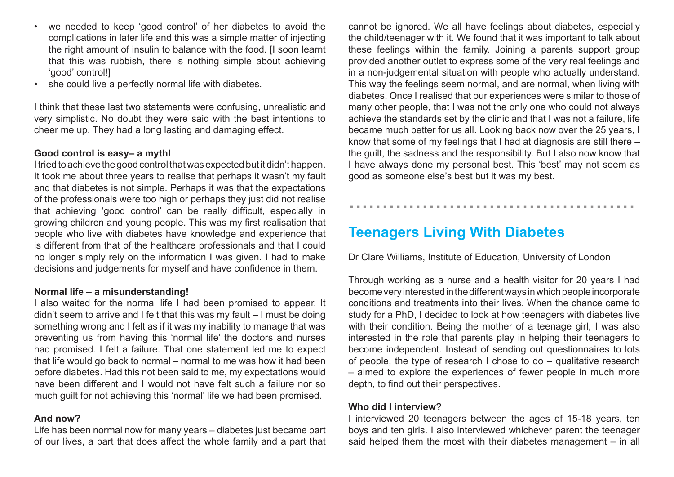- we needed to keep 'good control' of her diabetes to avoid the complications in later life and this was a simple matter of injecting the right amount of insulin to balance with the food. [I soon learnt that this was rubbish, there is nothing simple about achieving 'good' control!]
- she could live a perfectly normal life with diabetes.

I think that these last two statements were confusing, unrealistic and very simplistic. No doubt they were said with the best intentions to cheer me up. They had a long lasting and damaging effect.

### **Good control is easy– a myth!**

I tried to achieve the good control that was expected but it didn't happen. It took me about three years to realise that perhaps it wasn't my fault and that diabetes is not simple. Perhaps it was that the expectations of the professionals were too high or perhaps they just did not realise that achieving 'good control' can be really difficult, especially in growing children and young people. This was my first realisation that people who live with diabetes have knowledge and experience that is different from that of the healthcare professionals and that I could no longer simply rely on the information I was given. I had to make decisions and judgements for myself and have confidence in them.

## **Normal life – a misunderstanding!**

I also waited for the normal life I had been promised to appear. It didn't seem to arrive and I felt that this was my fault – I must be doing something wrong and I felt as if it was my inability to manage that was preventing us from having this 'normal life' the doctors and nurses had promised. I felt a failure. That one statement led me to expect that life would go back to normal – normal to me was how it had been before diabetes. Had this not been said to me, my expectations would have been different and I would not have felt such a failure nor so much guilt for not achieving this 'normal' life we had been promised.

## **And now?**

Life has been normal now for many years – diabetes just became part of our lives, a part that does affect the whole family and a part that cannot be ignored. We all have feelings about diabetes, especially the child/teenager with it. We found that it was important to talk about these feelings within the family. Joining a parents support group provided another outlet to express some of the very real feelings and in a non-judgemental situation with people who actually understand. This way the feelings seem normal, and are normal, when living with diabetes. Once I realised that our experiences were similar to those of many other people, that I was not the only one who could not always achieve the standards set by the clinic and that I was not a failure, life became much better for us all. Looking back now over the 25 years, I know that some of my feelings that I had at diagnosis are still there – the guilt, the sadness and the responsibility. But I also now know that I have always done my personal best. This 'best' may not seem as good as someone else's best but it was my best.

# **Teenagers Living With Diabetes**

Dr Clare Williams, Institute of Education, University of London

...........................................

Through working as a nurse and a health visitor for 20 years I had become very interested in the different ways in which people incorporate conditions and treatments into their lives. When the chance came to study for a PhD, I decided to look at how teenagers with diabetes live with their condition. Being the mother of a teenage girl, I was also interested in the role that parents play in helping their teenagers to become independent. Instead of sending out questionnaires to lots of people, the type of research I chose to do – qualitative research – aimed to explore the experiences of fewer people in much more depth, to find out their perspectives.

### **Who did I interview?**

I interviewed 20 teenagers between the ages of 15-18 years, ten boys and ten girls. I also interviewed whichever parent the teenager said helped them the most with their diabetes management – in all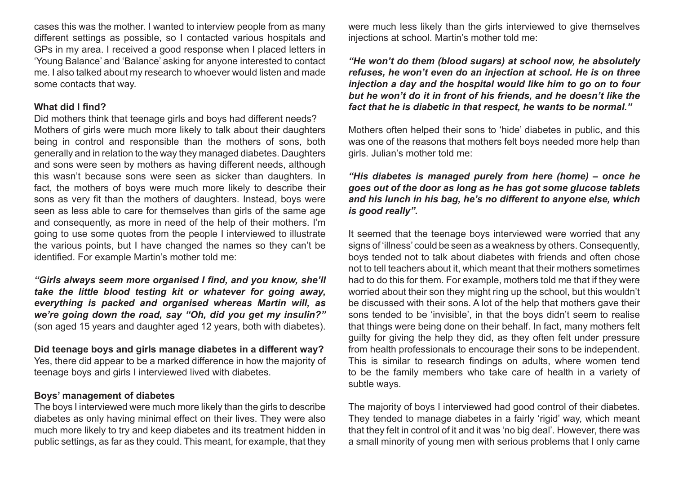cases this was the mother. I wanted to interview people from as many different settings as possible, so I contacted various hospitals and GPs in my area. I received a good response when I placed letters in 'Young Balance' and 'Balance' asking for anyone interested to contact me. I also talked about my research to whoever would listen and made some contacts that way.

### **What did I find?**

Did mothers think that teenage girls and boys had different needs? Mothers of girls were much more likely to talk about their daughters being in control and responsible than the mothers of sons, both generally and in relation to the way they managed diabetes. Daughters and sons were seen by mothers as having different needs, although this wasn't because sons were seen as sicker than daughters. In fact, the mothers of boys were much more likely to describe their sons as very fit than the mothers of daughters. Instead, boys were seen as less able to care for themselves than girls of the same age and consequently, as more in need of the help of their mothers. I'm going to use some quotes from the people I interviewed to illustrate the various points, but I have changed the names so they can't be identified. For example Martin's mother told me:

*"Girls always seem more organised I find, and you know, she'll take the little blood testing kit or whatever for going away, everything is packed and organised whereas Martin will, as we're going down the road, say "Oh, did you get my insulin?"* (son aged 15 years and daughter aged 12 years, both with diabetes).

**Did teenage boys and girls manage diabetes in a different way?** Yes, there did appear to be a marked difference in how the majority of teenage boys and girls I interviewed lived with diabetes.

#### **Boys' management of diabetes**

The boys I interviewed were much more likely than the girls to describe diabetes as only having minimal effect on their lives. They were also much more likely to try and keep diabetes and its treatment hidden in public settings, as far as they could. This meant, for example, that they were much less likely than the girls interviewed to give themselves injections at school. Martin's mother told me:

*"He won't do them (blood sugars) at school now, he absolutely refuses, he won't even do an injection at school. He is on three injection a day and the hospital would like him to go on to four but he won't do it in front of his friends, and he doesn't like the fact that he is diabetic in that respect, he wants to be normal."*

Mothers often helped their sons to 'hide' diabetes in public, and this was one of the reasons that mothers felt boys needed more help than girls. Julian's mother told me:

## *"His diabetes is managed purely from here (home) – once he goes out of the door as long as he has got some glucose tablets and his lunch in his bag, he's no different to anyone else, which is good really".*

It seemed that the teenage boys interviewed were worried that any signs of 'illness' could be seen as a weakness by others. Consequently, boys tended not to talk about diabetes with friends and often chose not to tell teachers about it, which meant that their mothers sometimes had to do this for them. For example, mothers told me that if they were worried about their son they might ring up the school, but this wouldn't be discussed with their sons. A lot of the help that mothers gave their sons tended to be 'invisible', in that the boys didn't seem to realise that things were being done on their behalf. In fact, many mothers felt guilty for giving the help they did, as they often felt under pressure from health professionals to encourage their sons to be independent. This is similar to research findings on adults, where women tend to be the family members who take care of health in a variety of subtle ways.

The majority of boys I interviewed had good control of their diabetes. They tended to manage diabetes in a fairly 'rigid' way, which meant that they felt in control of it and it was 'no big deal'. However, there was a small minority of young men with serious problems that I only came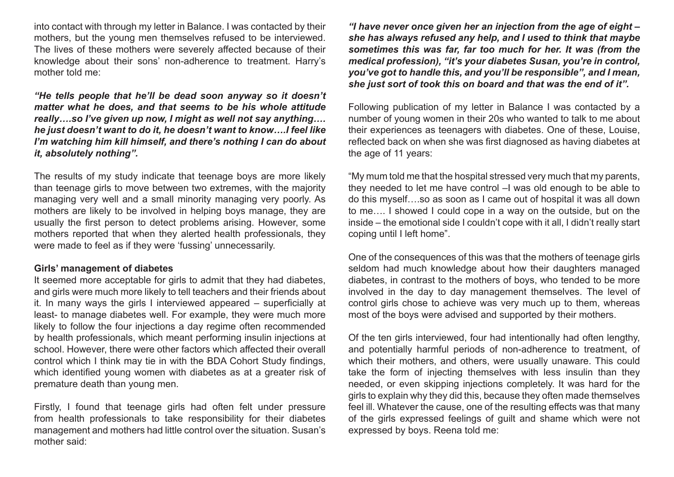into contact with through my letter in Balance. I was contacted by their mothers, but the young men themselves refused to be interviewed. The lives of these mothers were severely affected because of their knowledge about their sons' non-adherence to treatment. Harry's mother told me:

*"He tells people that he'll be dead soon anyway so it doesn't matter what he does, and that seems to be his whole attitude really….so I've given up now, I might as well not say anything…. he just doesn't want to do it, he doesn't want to know….I feel like I'm watching him kill himself, and there's nothing I can do about it, absolutely nothing".*

The results of my study indicate that teenage boys are more likely than teenage girls to move between two extremes, with the majority managing very well and a small minority managing very poorly. As mothers are likely to be involved in helping boys manage, they are usually the first person to detect problems arising. However, some mothers reported that when they alerted health professionals, they were made to feel as if they were 'fussing' unnecessarily.

#### **Girls' management of diabetes**

It seemed more acceptable for girls to admit that they had diabetes, and girls were much more likely to tell teachers and their friends about it. In many ways the girls I interviewed appeared – superficially at least- to manage diabetes well. For example, they were much more likely to follow the four injections a day regime often recommended by health professionals, which meant performing insulin injections at school. However, there were other factors which affected their overall control which I think may tie in with the BDA Cohort Study findings, which identified young women with diabetes as at a greater risk of premature death than young men.

Firstly, I found that teenage girls had often felt under pressure from health professionals to take responsibility for their diabetes management and mothers had little control over the situation. Susan's mother said:

*"I have never once given her an injection from the age of eight – she has always refused any help, and I used to think that maybe sometimes this was far, far too much for her. It was (from the medical profession), "it's your diabetes Susan, you're in control, you've got to handle this, and you'll be responsible", and I mean, she just sort of took this on board and that was the end of it".*

Following publication of my letter in Balance I was contacted by a number of young women in their 20s who wanted to talk to me about their experiences as teenagers with diabetes. One of these, Louise, reflected back on when she was first diagnosed as having diabetes at the age of 11 years:

"My mum told me that the hospital stressed very much that my parents, they needed to let me have control –I was old enough to be able to do this myself….so as soon as I came out of hospital it was all down to me…. I showed I could cope in a way on the outside, but on the inside – the emotional side I couldn't cope with it all, I didn't really start coping until I left home".

One of the consequences of this was that the mothers of teenage girls seldom had much knowledge about how their daughters managed diabetes, in contrast to the mothers of boys, who tended to be more involved in the day to day management themselves. The level of control girls chose to achieve was very much up to them, whereas most of the boys were advised and supported by their mothers.

Of the ten girls interviewed, four had intentionally had often lengthy, and potentially harmful periods of non-adherence to treatment, of which their mothers, and others, were usually unaware. This could take the form of injecting themselves with less insulin than they needed, or even skipping injections completely. It was hard for the girls to explain why they did this, because they often made themselves feel ill. Whatever the cause, one of the resulting effects was that many of the girls expressed feelings of guilt and shame which were not expressed by boys. Reena told me: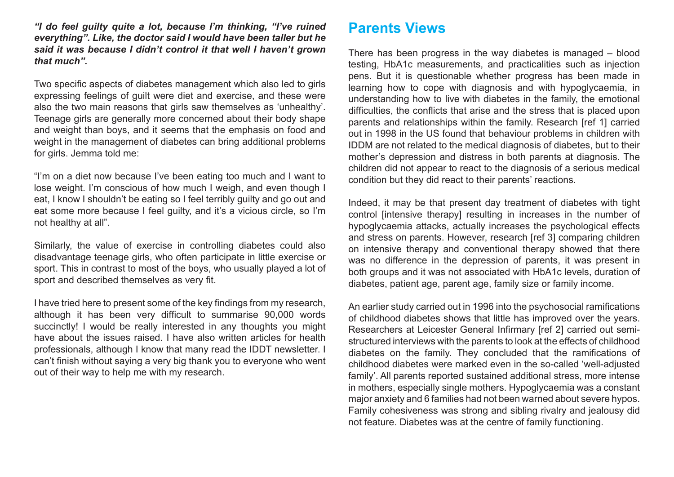*"I do feel guilty quite a lot, because I'm thinking, "I've ruined everything". Like, the doctor said I would have been taller but he said it was because I didn't control it that well I haven't grown that much".*

Two specific aspects of diabetes management which also led to girls expressing feelings of guilt were diet and exercise, and these were also the two main reasons that girls saw themselves as 'unhealthy'. Teenage girls are generally more concerned about their body shape and weight than boys, and it seems that the emphasis on food and weight in the management of diabetes can bring additional problems for girls. Jemma told me:

"I'm on a diet now because I've been eating too much and I want to lose weight. I'm conscious of how much I weigh, and even though I eat, I know I shouldn't be eating so I feel terribly guilty and go out and eat some more because I feel guilty, and it's a vicious circle, so I'm not healthy at all".

Similarly, the value of exercise in controlling diabetes could also disadvantage teenage girls, who often participate in little exercise or sport. This in contrast to most of the boys, who usually played a lot of sport and described themselves as very fit.

I have tried here to present some of the key findings from my research, although it has been very difficult to summarise 90,000 words succinctly! I would be really interested in any thoughts you might have about the issues raised. I have also written articles for health professionals, although I know that many read the IDDT newsletter. I can't finish without saying a very big thank you to everyone who went out of their way to help me with my research.

## **Parents Views**

There has been progress in the way diabetes is managed – blood testing, HbA1c measurements, and practicalities such as injection pens. But it is questionable whether progress has been made in learning how to cope with diagnosis and with hypoglycaemia, in understanding how to live with diabetes in the family, the emotional difficulties, the conflicts that arise and the stress that is placed upon parents and relationships within the family. Research [ref 1] carried out in 1998 in the US found that behaviour problems in children with IDDM are not related to the medical diagnosis of diabetes, but to their mother's depression and distress in both parents at diagnosis. The children did not appear to react to the diagnosis of a serious medical condition but they did react to their parents' reactions.

Indeed, it may be that present day treatment of diabetes with tight control [intensive therapy] resulting in increases in the number of hypoglycaemia attacks, actually increases the psychological effects and stress on parents. However, research [ref 3] comparing children on intensive therapy and conventional therapy showed that there was no difference in the depression of parents, it was present in both groups and it was not associated with HbA1c levels, duration of diabetes, patient age, parent age, family size or family income.

An earlier study carried out in 1996 into the psychosocial ramifications of childhood diabetes shows that little has improved over the years. Researchers at Leicester General Infirmary [ref 2] carried out semistructured interviews with the parents to look at the effects of childhood diabetes on the family. They concluded that the ramifications of childhood diabetes were marked even in the so-called 'well-adjusted family'. All parents reported sustained additional stress, more intense in mothers, especially single mothers. Hypoglycaemia was a constant major anxiety and 6 families had not been warned about severe hypos. Family cohesiveness was strong and sibling rivalry and jealousy did not feature. Diabetes was at the centre of family functioning.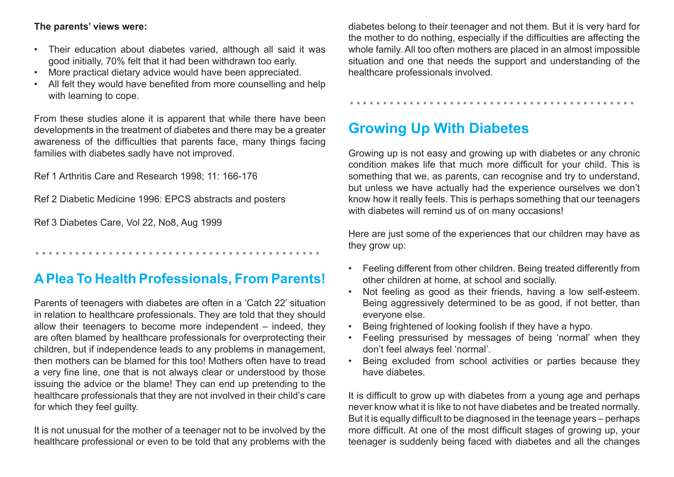## **The parents' views were:**

- Their education about diabetes varied, although all said it was good initially, 70% felt that it had been withdrawn too early.
- More practical dietary advice would have been appreciated.
- All felt they would have benefited from more counselling and help with learning to cope.

From these studies alone it is apparent that while there have been developments in the treatment of diabetes and there may be a greater awareness of the difficulties that parents face, many things facing families with diabetes sadly have not improved.

Ref 1 Arthritis Care and Research 1998; 11: 166-176

Ref 2 Diabetic Medicine 1996: EPCS abstracts and posters

Ref 3 Diabetes Care, Vol 22, No8, Aug 1999

...........................................

## **A Plea To Health Professionals, From Parents!**

Parents of teenagers with diabetes are often in a 'Catch 22' situation in relation to healthcare professionals. They are told that they should allow their teenagers to become more independent – indeed, they are often blamed by healthcare professionals for overprotecting their children, but if independence leads to any problems in management, then mothers can be blamed for this too! Mothers often have to tread a very fine line, one that is not always clear or understood by those issuing the advice or the blame! They can end up pretending to the healthcare professionals that they are not involved in their child's care for which they feel guilty.

It is not unusual for the mother of a teenager not to be involved by the healthcare professional or even to be told that any problems with the diabetes belong to their teenager and not them. But it is very hard for the mother to do nothing, especially if the difficulties are affecting the whole family. All too often mothers are placed in an almost impossible situation and one that needs the support and understanding of the healthcare professionals involved.

...........................................

# **Growing Up With Diabetes**

Growing up is not easy and growing up with diabetes or any chronic condition makes life that much more difficult for your child. This is something that we, as parents, can recognise and try to understand, but unless we have actually had the experience ourselves we don't know how it really feels. This is perhaps something that our teenagers with diabetes will remind us of on many occasions!

Here are just some of the experiences that our children may have as they grow up:

- Feeling different from other children. Being treated differently from other children at home, at school and socially.
- Not feeling as good as their friends, having a low self-esteem. Being aggressively determined to be as good, if not better, than everyone else.
- Being frightened of looking foolish if they have a hypo.
- Feeling pressurised by messages of being 'normal' when they don't feel always feel 'normal'.
- Being excluded from school activities or parties because they have diabetes.

It is difficult to grow up with diabetes from a young age and perhaps never know what it is like to not have diabetes and be treated normally. But it is equally difficult to be diagnosed in the teenage years – perhaps more difficult. At one of the most difficult stages of growing up, your teenager is suddenly being faced with diabetes and all the changes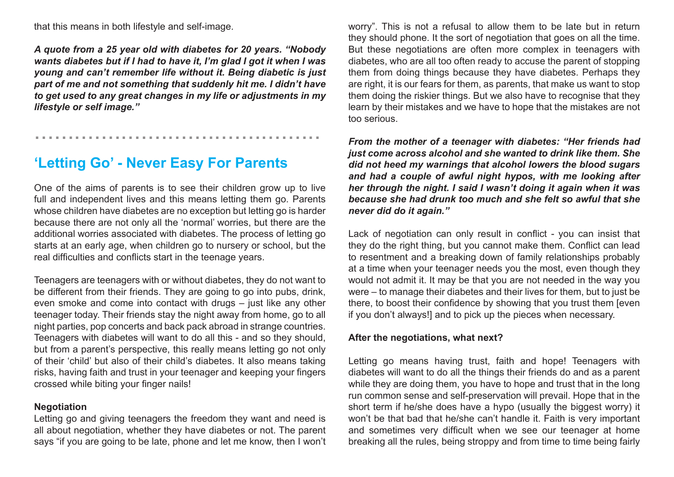that this means in both lifestyle and self-image.

*A quote from a 25 year old with diabetes for 20 years. "Nobody wants diabetes but if I had to have it, I'm glad I got it when I was young and can't remember life without it. Being diabetic is just part of me and not something that suddenly hit me. I didn't have to get used to any great changes in my life or adjustments in my lifestyle or self image."*

# **'Letting Go' - Never Easy For Parents**

...........................................

One of the aims of parents is to see their children grow up to live full and independent lives and this means letting them go. Parents whose children have diabetes are no exception but letting go is harder because there are not only all the 'normal' worries, but there are the additional worries associated with diabetes. The process of letting go starts at an early age, when children go to nursery or school, but the real difficulties and conflicts start in the teenage years.

Teenagers are teenagers with or without diabetes, they do not want to be different from their friends. They are going to go into pubs, drink, even smoke and come into contact with drugs – just like any other teenager today. Their friends stay the night away from home, go to all night parties, pop concerts and back pack abroad in strange countries. Teenagers with diabetes will want to do all this - and so they should, but from a parent's perspective, this really means letting go not only of their 'child' but also of their child's diabetes. It also means taking risks, having faith and trust in your teenager and keeping your fingers crossed while biting your finger nails!

#### **Negotiation**

Letting go and giving teenagers the freedom they want and need is all about negotiation, whether they have diabetes or not. The parent says "if you are going to be late, phone and let me know, then I won't worry". This is not a refusal to allow them to be late but in return they should phone. It the sort of negotiation that goes on all the time. But these negotiations are often more complex in teenagers with diabetes, who are all too often ready to accuse the parent of stopping them from doing things because they have diabetes. Perhaps they are right, it is our fears for them, as parents, that make us want to stop them doing the riskier things. But we also have to recognise that they learn by their mistakes and we have to hope that the mistakes are not too serious.

*From the mother of a teenager with diabetes: "Her friends had just come across alcohol and she wanted to drink like them. She did not heed my warnings that alcohol lowers the blood sugars and had a couple of awful night hypos, with me looking after her through the night. I said I wasn't doing it again when it was because she had drunk too much and she felt so awful that she never did do it again."*

Lack of negotiation can only result in conflict - you can insist that they do the right thing, but you cannot make them. Conflict can lead to resentment and a breaking down of family relationships probably at a time when your teenager needs you the most, even though they would not admit it. It may be that you are not needed in the way you were – to manage their diabetes and their lives for them, but to just be there, to boost their confidence by showing that you trust them [even if you don't always!] and to pick up the pieces when necessary.

#### **After the negotiations, what next?**

Letting go means having trust, faith and hope! Teenagers with diabetes will want to do all the things their friends do and as a parent while they are doing them, you have to hope and trust that in the long run common sense and self-preservation will prevail. Hope that in the short term if he/she does have a hypo (usually the biggest worry) it won't be that bad that he/she can't handle it. Faith is very important and sometimes very difficult when we see our teenager at home breaking all the rules, being stroppy and from time to time being fairly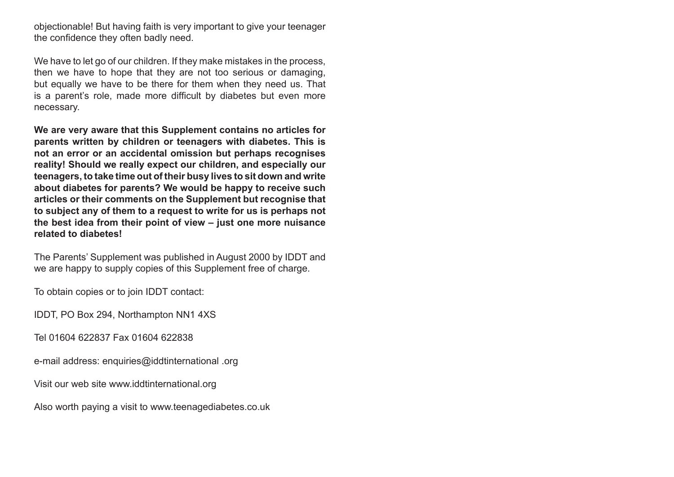objectionable! But having faith is very important to give your teenager the confidence they often badly need.

We have to let go of our children. If they make mistakes in the process, then we have to hope that they are not too serious or damaging, but equally we have to be there for them when they need us. That is a parent's role, made more difficult by diabetes but even more necessary.

**We are very aware that this Supplement contains no articles for parents written by children or teenagers with diabetes. This is not an error or an accidental omission but perhaps recognises reality! Should we really expect our children, and especially our teenagers, to take time out of their busy lives to sit down and write about diabetes for parents? We would be happy to receive such articles or their comments on the Supplement but recognise that to subject any of them to a request to write for us is perhaps not the best idea from their point of view – just one more nuisance related to diabetes!**

The Parents' Supplement was published in August 2000 by IDDT and we are happy to supply copies of this Supplement free of charge.

To obtain copies or to join IDDT contact:

IDDT, PO Box 294, Northampton NN1 4XS

Tel 01604 622837 Fax 01604 622838

e-mail address: enquiries@iddtinternational .org

Visit our web site www.iddtinternational.org

Also worth paying a visit to www.teenagediabetes.co.uk